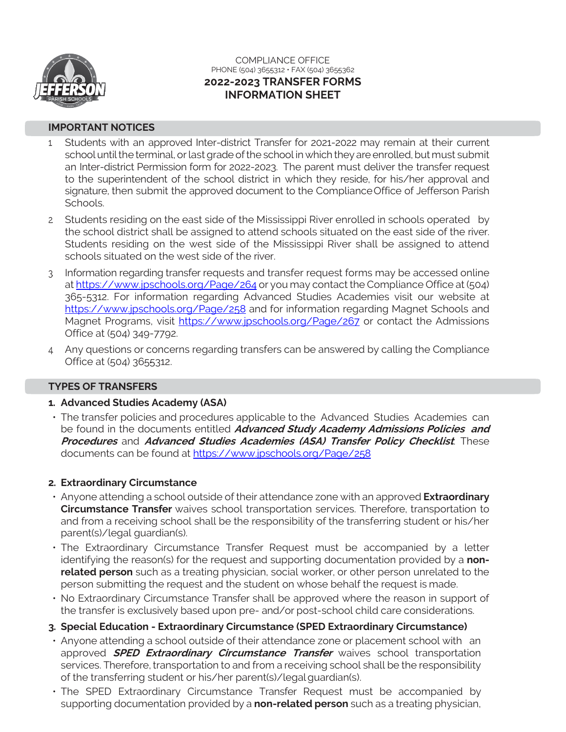

### COMPLIANCE OFFICE PHONE (504) 3655312 · FAX (504) 3655362 **2022-2023 TRANSFER FORMS INFORMATION SHEET**

#### **IMPORTANT NOTICES**

- 1. Students with an approved Inter-district Transfer for 2021-2022 may remain at their current school until the terminal, or last grade of the school in which they are enrolled, but must submit an Inter-district Permission form for 2022-2023. The parent must deliver the transfer request to the superintendent of the school district in which they reside, for his/her approval and signature, then submit the approved document to the ComplianceOffice of Jefferson Parish Schools.
- 2. Students residing on the east side of the Mississippi River enrolled in schools operated by the school district shall be assigned to attend schools situated on the east side of the river. Students residing on the west side of the Mississippi River shall be assigned to attend schools situated on the west side of the river.
- 3. Information regarding transfer requests and transfer request forms may be accessed online a[t https://www.jpschools.org/Page/264](https://www.jpschools.org/Page/264) or you may contact the Compliance Office at (504) 365-5312. For information regarding Advanced Studies Academies visit our website at <https://www.jpschools.org/Page/258> and for information regarding Magnet Schools and Magnet Programs, visit<https://www.jpschools.org/Page/267> or contact the Admissions Office at (504) 349-7792.
- 4. Any questions or concerns regarding transfers can be answered by calling the Compliance Office at (504) 3655312.

#### **TYPES OF TRANSFERS**

### **1. Advanced Studies Academy (ASA)**

• The transfer policies and procedures applicable to the Advanced Studies Academies can be found in the documents entitled **Advanced Study Academy Admissions Policies and Procedures** and **Advanced Studies Academies (ASA) Transfer Policy Checklist**. These documents can be found at <https://www.jpschools.org/Page/258>

### **2. Extraordinary Circumstance**

- Anyone attending a school outside of their attendance zone with an approved **Extraordinary Circumstance Transfer** waives school transportation services. Therefore, transportation to and from a receiving school shall be the responsibility of the transferring student or his/her parent(s)/legal guardian(s).
- The Extraordinary Circumstance Transfer Request must be accompanied by a letter identifying the reason(s) for the request and supporting documentation provided by a **nonrelated person** such as a treating physician, social worker, or other person unrelated to the person submitting the request and the student on whose behalf the request is made.
- No Extraordinary Circumstance Transfer shall be approved where the reason in support of the transfer is exclusively based upon pre- and/or post-school child care considerations.
- **3. Special Education - Extraordinary Circumstance (SPED Extraordinary Circumstance)**
- Anyone attending a school outside of their attendance zone or placement school with an approved **SPED Extraordinary Circumstance Transfer** waives school transportation services. Therefore, transportation to and from a receiving school shall be the responsibility of the transferring student or his/her parent(s)/legalguardian(s).
- The SPED Extraordinary Circumstance Transfer Request must be accompanied by supporting documentation provided by a **non-related person** such as a treating physician,